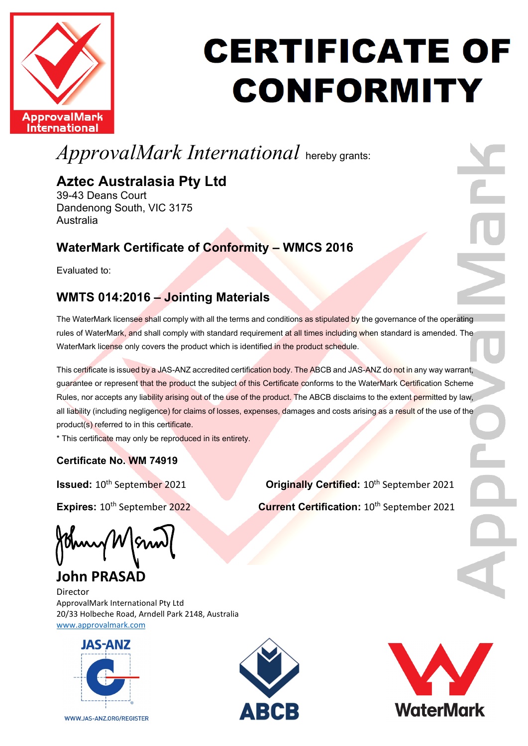

## **CERTIFICATE OF CONFORMITY**

### *ApprovalMark International* hereby grants:

### **Aztec Australasia Pty Ltd**

39-43 Deans Court Dandenong South, VIC 3175 Australia

### **WaterMark Certificate of Conformity – WMCS 2016**

Evaluated to:

### **WMTS 014:2016 – Jointing Materials**

The WaterMark licensee shall comply with all the terms and conditions as stipulated by the governance of the operating rules of WaterMark, and shall comply with standard requirement at all times including when standard is amended. The WaterMark license only covers the product which is identified in the product schedule.

This certificate is issued by a JAS-ANZ accredited certification body. The ABCB and JAS-ANZ do not in any way warrant, guarantee or represent that the product the subject of this Certificate conforms to the WaterMark Certification Scheme Rules, nor accepts any liability arising out of the use of the product. The ABCB disclaims to the extent permitted by law, all liability (including negligence) for claims of losses, expenses, damages and costs arising as a result of the use of the product(s) referred to in this certificate.

\* This certificate may only be reproduced in its entirety.

### **Certificate No. WM 74919**

**Issued:** 10<sup>th</sup> September 2021 **Originally Certified:** 10<sup>th</sup> September 2021

**Expires:** 10<sup>th</sup> September 2022<br>**Current Certification:** 10<sup>th</sup> September 2021

thury/W

**John PRASAD**

Director ApprovalMark International Pty Ltd 20/33 Holbeche Road, Arndell Park 2148, Australia [www.approvalmark.com](http://www.approvalmark.com/)



WWW.JAS-ANZ.ORG/REGISTER